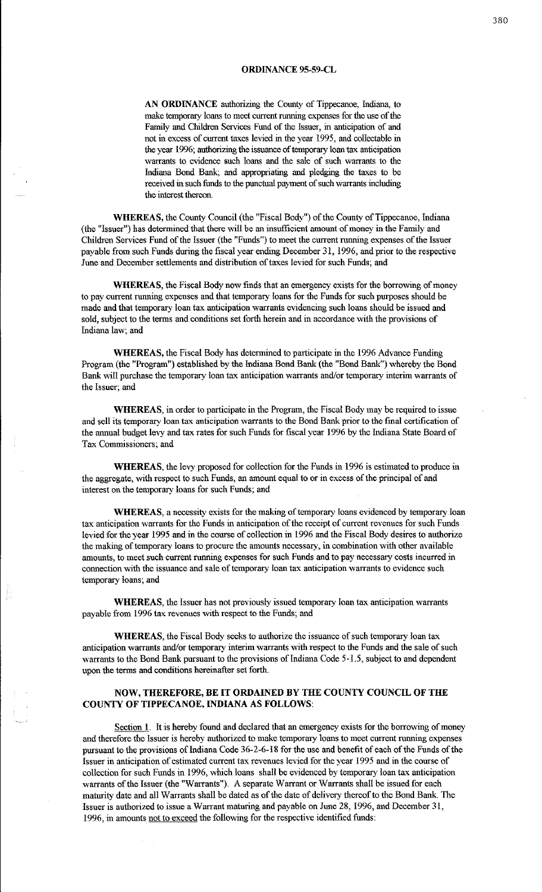## **ORDINANCE 95-59-CL**

**AN ORDINANCE** authorizing the County of Tippecanoe, Indiana, to make temporary loans to meet current running expenses for the use of the Family and Children Services Fund of the Issuer, in anticipation of and not in excess of current taxes levied in the year 1995, and collectable in the year 1996; authorizing the issuance of temporary loan tax anticipation warrants to evidence such loans and the sale of such warrants to the Indiana Bond Bank; and appropriating and pledging the taxes to be received in such funds to the punctual payment of such warrants includiag the interest thereon.

**WHEREAS,** the County Council (the "Fiscal Body") of the County of Tippecanoe, Indiana (the "Issuer") has determined that there wilt be an insufficient amount of money in the Family and Children Services Fund of the Issuer (the "Funds") to meet the current running expenses of the Issuer payable from such Funds during the fiscal year ending December 31, 1996, and prior to the respective June and December settlements and distribution of taxes levied for such Funds; and

**WHEREAS,** the Fiscal Body now finds that an emergency exists for the borrowing of money to pay current running expenses and that temporary loans for the Funds for such purposes should be made and that temporary loan tax anticipation warrants evidencing such loans should be issued and sold, subject to the terms and conditions set forth herein and in accordance with the provisions of Indiana law; and

**WHEREAS, the Fiscal Body has determined to participate in the 1996 Advance Funding** Program (the "Program") established by the Indiana Bond Bank (the "Bond Bank") whereby the Bond Bank will purchase the temporary loan tax anticipation warrants and/or temporary interim warrants of the Issuer; and

**WHEREAS,** in order to participate in the Program, the Fiscal Body may be required to issue and sell its temporary loan tax anticipation warrants to the Bond Bank prior to the fmal certification of the annual budget levy and tax rates for such Funds for fiscal year 1996 by the Indiana State Board of Tax Commissioners; and

**WHEREAS,** the levy proposed for collection for the Funds in 1996 is estimated to produce in the aggregate, with respect to such Funds, an amount equal to or in excess of the principal of and interest on the temporary loans for such Funds; and

**WHEREAS,** a necessity exists for the making of temporary loans evidenced by temporary loan tax anticipatiou warrants for the Funds in anticipation of the receipt of current revenues for such Funds levied for the year 1995 and in the course of collection in 1996 and the Fiscal Body desires to authorize the making of temporary loans to procure the amounts necessary, in combination with other available ammmts, to meet such current nurning expenses for such Funds and to pay necessary costs incurred in connection with the issuance and sale of temporary loan tax anticipation warrants to evidence such temporary loans; and

**WHEREAS,** the Issuer has not previously issued temporary loan tax anticipation warrants payable from 1996 tax revenues with respect to the Funds; and

**WHEREAS,** the Fiscal Body seeks to authorize the issuance of such temporary loan tax anticipation warrants and/or temporary interim warrants with respect to the Funds and the sale of such warrants to the Bond Bank pursuant to the provisions of Indiana Code 5-1.5, subject to and dependent upon the terms and conditions hereinafter set forth.

## **NOW, THEREFORE, BE IT ORDAINED BY THE COUNTY COUNCIL OF THE COUNTY OF TIPPECANOE, INDIANA AS FOLLOWS:**

Section 1. It is hereby found and declared that an emergency exists for the borrowing of money and therefore the Issuer is hereby authorized to make temporary loans to meet current running expenses pursuant to the provisions of Indiana Code 36-2-6-18 for the use and benefit of each of the Funds of the Issuer in anticipation of estimated current tax revenues levied for the year 1995 and in the course of collection for such Funds in 1996, which loans shall be evidenced by temporary loan tax anticipation warrants of the Issuer (the "Warrants"). A separate Warrant or Warrants shall be issued for each mattuity date and all Warrants shall be dated as of the date of delivery thereof to the Bond Bank. The Issuer is authorized to issue a Warrant maturing and payable on June 28, 1996, and December 31, 1996, in amounts not to exceed the following for the respective identified funds: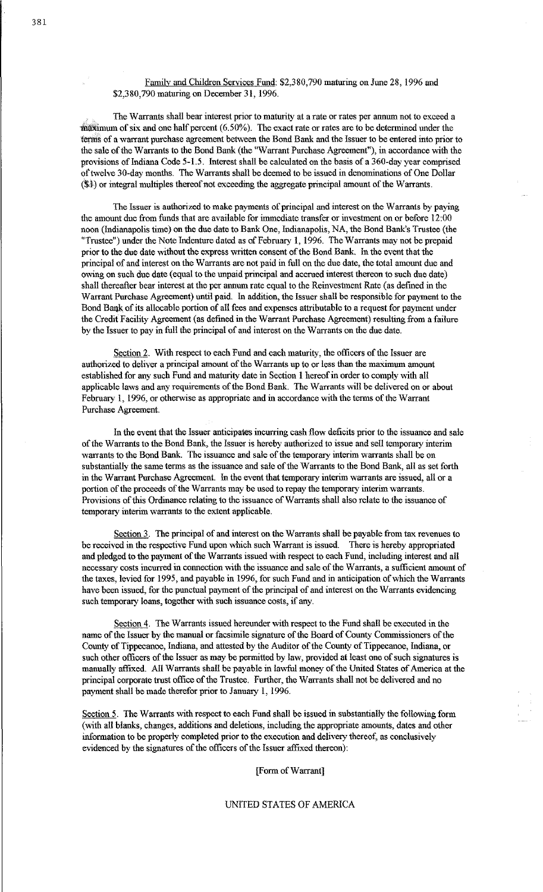Family and Children Services Fund: \$2,380,790 maturing on June 28, 1996 and \$2,380,790 maturing on December 31, 1996.

The Warrants shall bear interest prior to maturity at a rate or rates per annum not to exceed a  $maxi$  mum of six and one half percent  $(6.50\%)$ . The exact rate or rates are to be determined under the terms of a warrant purchase agreement between the Bond Bank and the Issuer to be entered into prior to the sale of the Warrants to the Bond Bank (the "Warrant Purchase Agreement"), in accordance with the provisions of Indiana Code 5-1.5. Interest shall be calculated on the basis of a 360-day year comprised of twelve 30-day months. The Warrants shall be deemed to be issued in denominations of One Dollar  $(\$)$  or integral multiples thereof not exceeding the aggregate principal amount of the Warrants.

The Issuer is authorized to make payments of principal and interest on the Warrants by paying the amount due from funds that are available for immediate transfer or investment on or before 12:00 noon (Indianapolis time) on the due date to Bank One, Indianapolis, NA, the Bond Bank's Trustee (the "Trustee") nuder the Note Indenture dated as of February 1, 1996. The Warrants may not be prepaid prior to the due date without the express written consent of the Bond Bank. In the event that the principal of and interest on the Warrants are not paid in full on the due date, the total amount due and owing on such due date (equal to the unpaid principal and accrued interest thereon to such due date) shall thereafter bear interest at the per annum rate equal to the Reinvestment Rate (as defined in the Warrant Purchase Agreement) until paid. In addition, the Issuer shall be responsible for payment to the Bond Bank of its allocable portion of all fees and expenses attributable to a request for payment under the Credit Facility Agreement (as defined in the Warrant Purchase Agreement) resulting from a failure by the Issuer to pay in full the principal of and interest on the Warrants on the due date.

Section 2. With respect to each Fund and each maturity, the officers of the Issuer are authorized to deliver a principal amount of the Warrants up to or less than the maximum amount established for any such Fund and maturity date in Section 1 hereof in order to comply with all applicable laws and any requirements of the Bond Bank. The Warrants will be delivered on or about February 1, 1996, or otherwise as appropriate and in accordance with the terms of the Warrant Purchase Agreement.

In the event that the Issuer anticipares incurring cash flow deficits prior to the issuance and sale of the Warrants to the Bond Bank, the Issuer is hereby authorized to issue and sell temporary interim warrants to the Bond Bank. The issuance and sale of the temporary interim warrants shall be on substantially the same terms as the issuance and sale of the Warrants to the Bond Bank, all as set forth in the Warrant Purchase Agreement. In the event that temporary interim warrants are issued, all or a portion of the proceeds of the Warrants may be used to repay the temporary interim warrants. Provisions of this Ordinance relating to the issuance of Warrants shall also relate to the issuance of temporary interim warrants to the extent applicable.

Section 3. The principal of and interest on the Warrants shall be payable from tax revenues to be received in the respective Fund upon which such Warrant is issued. There is hereby appropriated and pledged to the payment of the Warrants issued with respect to each Fund, including interest and all necessary costs incurred in connection with the issuance and sale of the Warrants, a sufficient amount of the taxes, levied for 1995, and payable in 1996, for such Fund and in anticipation of which the Warrants have been issued, for the punctual payment of the principal of and interest on the Warrants evidencing such temporary loans, together with such issuance costs, if any.

Section 4. The Warrants issued hereunder with respect to the Fund shall be executed in the name of the Issuer by the manual or facsimile signature of the Board of County Connnissioners of the County of Tippecanoe, Indiana, and attested by the Auditor of the County of Tippecanoe, Indiana, or such other officers of the Issuer as may be permitted by law, provided at least one of such signatures is manually affixed. All Warrants shall be payable in lawful money of the United States of America at the principal corporate trust office of the Trustee. Further, the Warrants shall not be delivered and no payment shall be made therefor prior to January 1, 1996.

Section 5. The Warrants with respect to each Fund shall be issued in substantially the following form (with all blanks, changes, additions and deletions, including the appropriate amounts, dates and other information to be properly completed prior to the execution and delivery thereof, as conclusively evidenced by the signatures of the officers of the Issuer affixed thereon):

[Form of Warrant]

## UNITED STATES OF AMERICA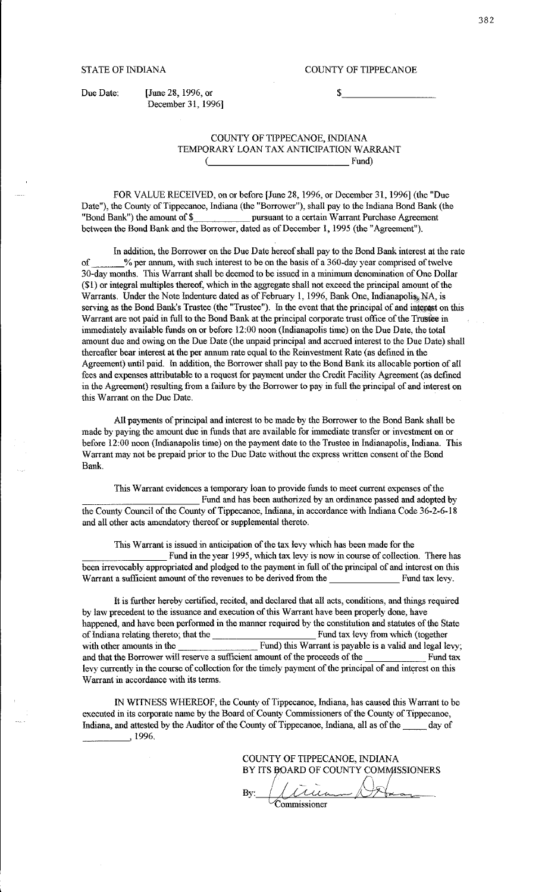Due Date: [June 28, 1996, or December 31, 1996]

## COUNTY OF TIPPECANOE, INDIANA TEMPORARY LOAN TAX ANTICIPATION WARRANT \\_ \_\_\_\_\_\_\_\_\_\_ Fund)

FOR VALUE RECEIVED, on or before [June 28, 1996, or December 31, 1996] (the "Due Date"), the County of Tippecanoe, Indiana (the "Borrower"), shall pay to the Indiana Bond Bank (the "Bond Bank") the amount of\$ pursuant to a certain Warrant Purchase Agreement between the Bond Bank and the Borrower, dated as of December 1, 1995 (the "Agreement").

In addition, the Borrower on the Due Date hereof shall pay to the Bond Bank interest at the rate of  $\%$  per annum, with such interest to be on the basis of a 360-day year comprised of twelve 30-day months. This Warrant shall be deemed to be issued in a minimum denomination of One Dollar  $(1)$  or integral multiples thereof, which in the aggregate shall not exceed the principal amount of the Warrants. Under the Note Indenture dated as of February 1, 1996, Bank One, Indianapolis. NA, is serving as the Bond Bank's Trustee (the "Trustee"). In the event that the principal of and interest on this Warrant are not paid in full to the Bond Bank at the principal corporate trust office of the Trustee in immediately available funds on or before 12:00 noon (Indianapolis time) on the Due Date, the total amount due and owing on the Due Date (the unpaid principal and accrued interest to the Due Date) shall thereafter bear interest at the per ammm rate equal to the Reinvestment Rate (as defined in the Agreement) until paid. In addition, the Borrower shall pay to the Bond Bank its allocable portion of all fees and expenses attributable to a request for payment under the Credit Facility Agreement (as defined in the Agreement) resulting from a failure by the Borrower to pay in foll the principal of and interest on this Warrant on the Due Date.

All payments of principal and interest to be made by the Borrower to the Bond Bank shall be made by paying the amount due in funds that are available for immediate transfer or investment on or before 12:00 noon (Indianapolis time) on the payment date to the Trustee in Indianapolis, Indiana. This Warrant may not be prepaid prior to the Due Date without the express written consent of the Bond Bank.

This Warrant evidences a temporary loan to provide funds to meet current expenses of the Fund and has been authorized by an ordinance passed and adopted by the County Council of the County of Tippecanoe, Indiana, in accordance with Indiana Code 36-2-6-18 and all other acts amendatory thereof or supplemental thereto.

This Warrant is issued in anticipation of the tax levy which has been made for the This Warrant is issued in anticipation of the tax levy which has been made for the<br>
Fund in the year 1995, which tax levy is now in course of collection. There has<br>
been irrevocably appropriated and pledged to the payment Warrant a sufficient amount of the revenues to be derived from the Fund tax levy.

It is forther hereby certified, recited, and declared that all acts, conditions, and things required by law precedent to the issuance and execution of this Warrant have been properly done, have happened, and have been performed in the manner required by the constitution and statutes of the State of Indiana relating thereto; that the Fund tax levy from which (together with other amounts in the Fund) this Warrant is payable is a valid and legal levy; and that the Borrower will reserve a sufficient amount of the proceeds of the Fund tax levy currently in the course of collection for the timely payment of the principal of and interest on this Warrant in accordance with its terms.

IN WITNESS WHEREOF, the County of Tippecanoe, Indiana, has caused this Warrant to be executed in its corporate name by the Board of County Commissioners of the County of Tippecanoe, Indiana, and attested by the Auditor of the County of Tippecanoe, Indiana, all as of the \_\_ day of  $\frac{1996.}{\sqrt{10}}$ 

COUNTY OF TIPPECANOE, INDIANA BY ITS BOARD OF COUNTY COMMISSIONERS By: **Commissioner**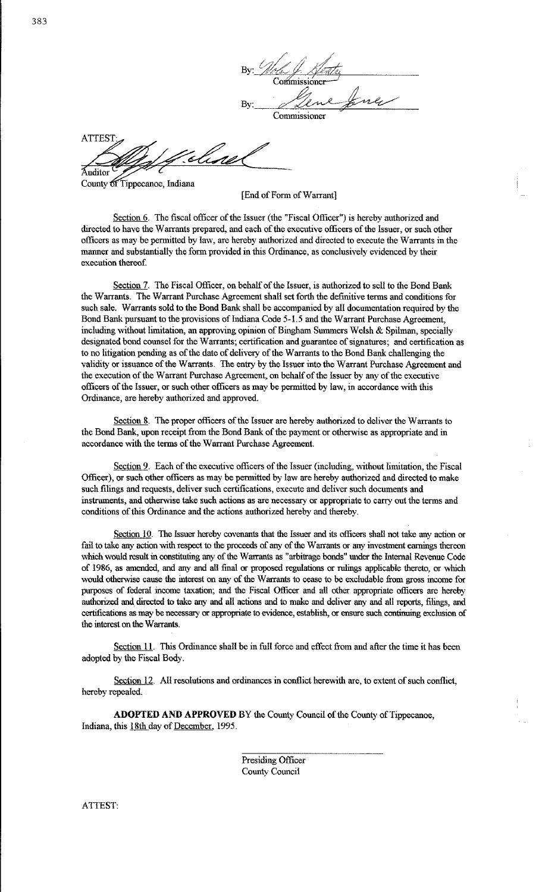By: Note 4. Spentry Commissione By: Line fine

**ATTEST** 

Auditor County of Tippecanoe, Indiana

[End of Form of Warrant]

Section 6. The fiscal officer of the Issuer (the "Fiscal Officer") is hereby authorized and directed to have the Warrants prepared, and each of the executive officers of the Issuer, or such other officers as may be permitted by law, are hereby authorized and directed to execute the Warrants in the manner and substantially the form provided in this Ordinance, as conclusively evidenced by their execution thereof.

Section 7. The Fiscal Officer, on behalf of the Issuer, is authorized to sell to the Bond Bank the Warrants. The Warrant Purchase Agreement shall set forth the definitive terms and conditions for such sale. Warrants sold to the Bond Bank shall be accompanied by all documentation required by the Bond Bank pursuant to the provisions of Indiana Code 5-1. 5 and the Warrant Purchase Agreement, including without limitation, an approving opinion of Bingham Summers Welsh & Spihnan, specially designated bond counsel for the Warrants; certification and guarantee of signatures; and certification as to no litigation pending as of the date of delivery of the Warrants to the Bond Bank challenging the validity or issuance of the Warrants. The entry by the Issuer into the Warrant Purchase Agreement and the execution of the Warrant Purchase Agreement, on behalf of the Issuer by any of the executive officers of the Issuer, or such other officers as may be permitted by law, in accordance with this Ordinance, are hereby authorized and approved.

Section 8. The proper officers of the Issuer are hereby authorized to deliver the Warrants to the Bond Bank, upon receipt from the Bond Bank of the payment or otherwise as appropriate and in accordance with the terms of the Warrant Purchase Agreement.

Section 9. Each of the executive officers of the Issuer (including, without limitation, the Fiscal Officer), or such other officers as may be permitted by law are hereby authorized and directed to make such filings and requests, deliver such certifications, execute and deliver such documents and instruments, and otherwise take such actions as are necessary or appropriate to carry out the terms and conditions of this Ordinance and the actions authorized hereby and thereby.

Section 10. The Issuer hereby covenants that the Issuer and its officers shall not take any action or fail to take any action with respect to the proceeds of any of the Warrants or any investment earnings thereon which would result in constituting any of the Warrants as "arbitrage bonds" under the Internal Revenue Code of 1986, as amended, and any and all final or proposed regulations or rulings applicable thereto, or which would otherwise cause the interest on any of the Warrants to cease to be excludable from gross income for purposes of federal income taxation; and the Fiscal Officer and all other appropriate officers are hereby authorized and directed to take any and all actions and to make and deliver any and all reports, filings, and certifications as may be necessary or appropriate to evidence, establish, or ensure such continuing exclusion of the interest on the Warrants.

Section 11. This Ordinance shall be in full force and effect from and after the time it has been adopted by the Fiscal Body.

Section 12. All resolutions and ordinances in conflict herewith are, to extent of such conflict, hereby repealed.

**ADOPTED AND APPROVED** BY the County Council of the County of Tippecanoe, Indiana, this 18th day of December, 1995.

> Presiding Officer County Council

ATTEST: